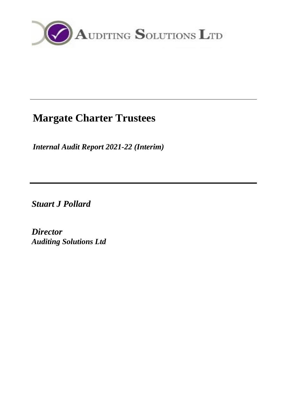

# **Margate Charter Trustees**

*Internal Audit Report 2021-22 (Interim)*

*Stuart J Pollard*

*Director Auditing Solutions Ltd*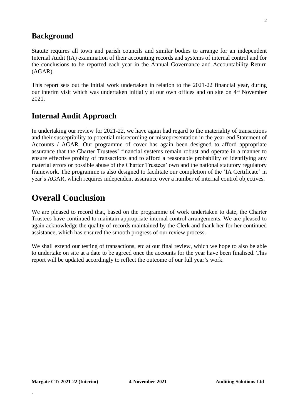## **Background**

Statute requires all town and parish councils and similar bodies to arrange for an independent Internal Audit (IA) examination of their accounting records and systems of internal control and for the conclusions to be reported each year in the Annual Governance and Accountability Return (AGAR).

This report sets out the initial work undertaken in relation to the 2021-22 financial year, during our interim visit which was undertaken initially at our own offices and on site on 4<sup>th</sup> November 2021.

## **Internal Audit Approach**

In undertaking our review for 2021-22, we have again had regard to the materiality of transactions and their susceptibility to potential misrecording or misrepresentation in the year-end Statement of Accounts / AGAR. Our programme of cover has again been designed to afford appropriate assurance that the Charter Trustees' financial systems remain robust and operate in a manner to ensure effective probity of transactions and to afford a reasonable probability of identifying any material errors or possible abuse of the Charter Trustees' own and the national statutory regulatory framework. The programme is also designed to facilitate our completion of the 'IA Certificate' in year's AGAR, which requires independent assurance over a number of internal control objectives.

## **Overall Conclusion**

We are pleased to record that, based on the programme of work undertaken to date, the Charter Trustees have continued to maintain appropriate internal control arrangements. We are pleased to again acknowledge the quality of records maintained by the Clerk and thank her for her continued assistance, which has ensured the smooth progress of our review process.

We shall extend our testing of transactions, etc at our final review, which we hope to also be able to undertake on site at a date to be agreed once the accounts for the year have been finalised. This report will be updated accordingly to reflect the outcome of our full year's work.

**.**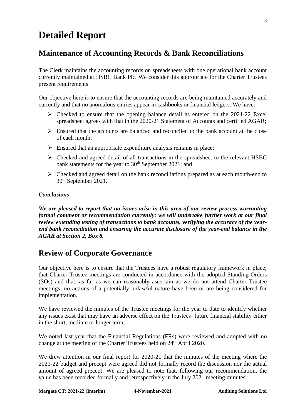## **Detailed Report**

## **Maintenance of Accounting Records & Bank Reconciliations**

The Clerk maintains the accounting records on spreadsheets with one operational bank account currently maintained at HSBC Bank Plc. We consider this appropriate for the Charter Trustees present requirements.

Our objective here is to ensure that the accounting records are being maintained accurately and currently and that no anomalous entries appear in cashbooks or financial ledgers. We have: -

- ➢ Checked to ensure that the opening balance detail as entered on the 2021-22 Excel spreadsheet agrees with that in the 2020-21 Statement of Accounts and certified AGAR;
- $\triangleright$  Ensured that the accounts are balanced and reconciled to the bank account at the close of each month;
- $\triangleright$  Ensured that an appropriate expenditure analysis remains in place;
- ➢ Checked and agreed detail of all transactions in the spreadsheet to the relevant HSBC bank statements for the year to 30<sup>th</sup> September 2021; and
- ➢ Checked and agreed detail on the bank reconciliations prepared as at each month-end to 30th September 2021.

#### *Conclusions*

*We are pleased to report that no issues arise in this area of our review process warranting formal comment or recommendation currently: we will undertake further work at our final review extending testing of transactions to bank accounts, verifying the accuracy of the yearend bank reconciliation and ensuring the accurate disclosure of the year-end balance in the AGAR at Section 2, Box 8.*

## **Review of Corporate Governance**

Our objective here is to ensure that the Trustees have a robust regulatory framework in place; that Charter Trustee meetings are conducted in accordance with the adopted Standing Orders (SOs) and that, as far as we can reasonably ascertain as we do not attend Charter Trustee meetings, no actions of a potentially unlawful nature have been or are being considered for implementation.

We have reviewed the minutes of the Trustee meetings for the year to date to identify whether any issues exist that may have an adverse effect on the Trustees' future financial stability either in the short, medium or longer term;

We noted last year that the Financial Regulations (FRs) were reviewed and adopted with no change at the meeting of the Charter Trustees held on 24<sup>th</sup> April 2020.

We drew attention in our final report for 2020-21 that the minutes of the meeting where the 2021-22 budget and precept were agreed did not formally record the discussion nor the actual amount of agreed precept. We are pleased to note that, following our recommendation, the value has been recorded formally and retrospectively in the July 2021 meeting minutes.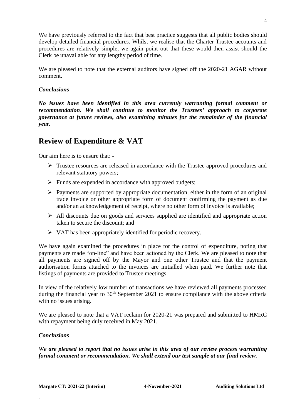We have previously referred to the fact that best practice suggests that all public bodies should develop detailed financial procedures. Whilst we realise that the Charter Trustee accounts and procedures are relatively simple, we again point out that these would then assist should the Clerk be unavailable for any lengthy period of time.

We are pleased to note that the external auditors have signed off the 2020-21 AGAR without comment.

#### *Conclusions*

*No issues have been identified in this area currently warranting formal comment or recommendation. We shall continue to monitor the Trustees' approach to corporate governance at future reviews, also examining minutes for the remainder of the financial year.*

## **Review of Expenditure & VAT**

Our aim here is to ensure that: -

- ➢ Trustee resources are released in accordance with the Trustee approved procedures and relevant statutory powers;
- $\triangleright$  Funds are expended in accordance with approved budgets;
- ➢ Payments are supported by appropriate documentation, either in the form of an original trade invoice or other appropriate form of document confirming the payment as due and/or an acknowledgement of receipt, where no other form of invoice is available;
- $\triangleright$  All discounts due on goods and services supplied are identified and appropriate action taken to secure the discount; and
- ➢ VAT has been appropriately identified for periodic recovery.

We have again examined the procedures in place for the control of expenditure, noting that payments are made "on-line" and have been actioned by the Clerk. We are pleased to note that all payments are signed off by the Mayor and one other Trustee and that the payment authorisation forms attached to the invoices are initialled when paid. We further note that listings of payments are provided to Trustee meetings.

In view of the relatively low number of transactions we have reviewed all payments processed during the financial year to 30<sup>th</sup> September 2021 to ensure compliance with the above criteria with no issues arising.

We are pleased to note that a VAT reclaim for 2020-21 was prepared and submitted to HMRC with repayment being duly received in May 2021.

#### *Conclusions*

**.**

*We are pleased to report that no issues arise in this area of our review process warranting formal comment or recommendation. We shall extend our test sample at our final review.*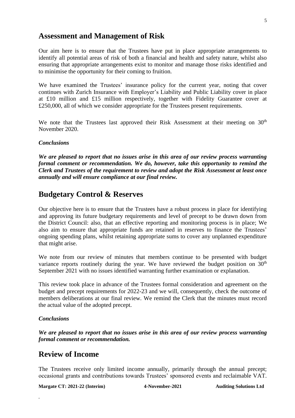#### **Assessment and Management of Risk**

Our aim here is to ensure that the Trustees have put in place appropriate arrangements to identify all potential areas of risk of both a financial and health and safety nature, whilst also ensuring that appropriate arrangements exist to monitor and manage those risks identified and to minimise the opportunity for their coming to fruition.

We have examined the Trustees' insurance policy for the current year, noting that cover continues with Zurich Insurance with Employer's Liability and Public Liability cover in place at £10 million and £15 million respectively, together with Fidelity Guarantee cover at £250,000, all of which we consider appropriate for the Trustees present requirements.

We note that the Trustees last approved their Risk Assessment at their meeting on 30<sup>th</sup> November 2020.

#### *Conclusions*

*We are pleased to report that no issues arise in this area of our review process warranting formal comment or recommendation. We do, however, take this opportunity to remind the Clerk and Trustees of the requirement to review and adopt the Risk Assessment at least once annually and will ensure compliance at our final review.*

### **Budgetary Control & Reserves**

Our objective here is to ensure that the Trustees have a robust process in place for identifying and approving its future budgetary requirements and level of precept to be drawn down from the District Council: also, that an effective reporting and monitoring process is in place; We also aim to ensure that appropriate funds are retained in reserves to finance the Trustees' ongoing spending plans, whilst retaining appropriate sums to cover any unplanned expenditure that might arise.

We note from our review of minutes that members continue to be presented with budget variance reports routinely during the year. We have reviewed the budget position on  $30<sup>th</sup>$ September 2021 with no issues identified warranting further examination or explanation.

This review took place in advance of the Trustees formal consideration and agreement on the budget and precept requirements for 2022-23 and we will, consequently, check the outcome of members deliberations at our final review. We remind the Clerk that the minutes must record the actual value of the adopted precept.

#### *Conclusions*

**.**

*We are pleased to report that no issues arise in this area of our review process warranting formal comment or recommendation.* 

### **Review of Income**

The Trustees receive only limited income annually, primarily through the annual precept; occasional grants and contributions towards Trustees' sponsored events and reclaimable VAT.

**Margate CT: 2021-22 (Interim) 4-November-2021 Auditing Solutions Ltd**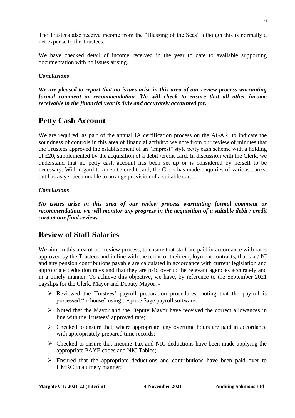The Trustees also receive income from the "Blessing of the Seas" although this is normally a net expense to the Trustees.

We have checked detail of income received in the year to date to available supporting documentation with no issues arising.

#### *Conclusions*

*We are pleased to report that no issues arise in this area of our review process warranting formal comment or recommendation. We will check to ensure that all other income receivable in the financial year is duly and accurately accounted for.*

## **Petty Cash Account**

We are required, as part of the annual IA certification process on the AGAR, to indicate the soundness of controls in this area of financial activity: we note from our review of minutes that the Trustees approved the establishment of an "Imprest" style petty cash scheme with a holding of £20, supplemented by the acquisition of a debit /credit card. In discussion with the Clerk, we understand that no petty cash account has been set up or is considered by herself to be necessary. With regard to a debit / credit card, the Clerk has made enquiries of various banks, but has as yet been unable to arrange provision of a suitable card.

#### *Conclusions*

*No issues arise in this area of our review process warranting formal comment or recommendation: we will monitor any progress in the acquisition of a suitable debit / credit card at our final review.*

## **Review of Staff Salaries**

We aim, in this area of our review process, to ensure that staff are paid in accordance with rates approved by the Trustees and in line with the terms of their employment contracts, that tax / NI and any pension contributions payable are calculated in accordance with current legislation and appropriate deduction rates and that they are paid over to the relevant agencies accurately and in a timely manner. To achieve this objective, we have, by reference to the September 2021 payslips for the Clerk, Mayor and Deputy Mayor: -

- $\triangleright$  Reviewed the Trustees' payroll preparation procedures, noting that the payroll is processed "in house" using bespoke Sage payroll software;
- ➢ Noted that the Mayor and the Deputy Mayor have received the correct allowances in line with the Trustees' approved rate;
- $\triangleright$  Checked to ensure that, where appropriate, any overtime hours are paid in accordance with appropriately prepared time records;
- $\triangleright$  Checked to ensure that Income Tax and NIC deductions have been made applying the appropriate PAYE codes and NIC Tables;
- $\triangleright$  Ensured that the appropriate deductions and contributions have been paid over to HMRC in a timely manner;

**.**